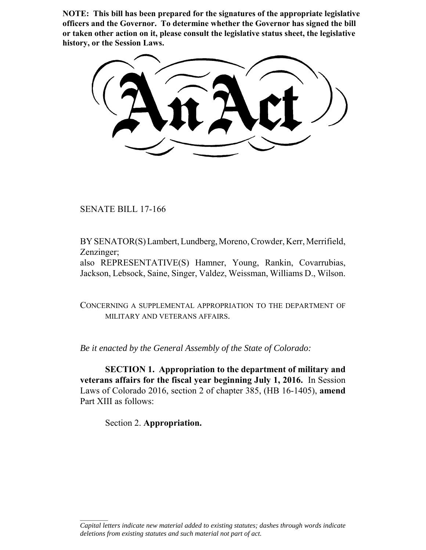**NOTE: This bill has been prepared for the signatures of the appropriate legislative officers and the Governor. To determine whether the Governor has signed the bill or taken other action on it, please consult the legislative status sheet, the legislative history, or the Session Laws.**

SENATE BILL 17-166

BY SENATOR(S) Lambert, Lundberg, Moreno, Crowder, Kerr, Merrifield, Zenzinger;

also REPRESENTATIVE(S) Hamner, Young, Rankin, Covarrubias, Jackson, Lebsock, Saine, Singer, Valdez, Weissman, Williams D., Wilson.

CONCERNING A SUPPLEMENTAL APPROPRIATION TO THE DEPARTMENT OF MILITARY AND VETERANS AFFAIRS.

*Be it enacted by the General Assembly of the State of Colorado:*

**SECTION 1. Appropriation to the department of military and veterans affairs for the fiscal year beginning July 1, 2016.** In Session Laws of Colorado 2016, section 2 of chapter 385, (HB 16-1405), **amend** Part XIII as follows:

Section 2. **Appropriation.**

 $\frac{1}{2}$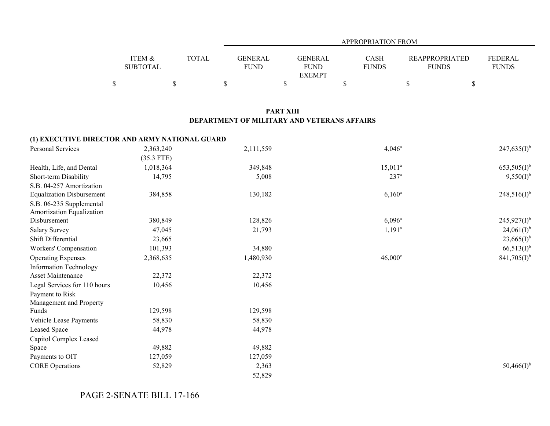|                   |       |                | APPROPRIATION FROM |              |                       |              |  |
|-------------------|-------|----------------|--------------------|--------------|-----------------------|--------------|--|
|                   |       |                |                    |              |                       |              |  |
| <b>ITEM &amp;</b> | TOTAL | <b>GENERAL</b> | <b>GENERAL</b>     | <b>CASH</b>  | <b>REAPPROPRIATED</b> | FEDERAL      |  |
| <b>SUBTOTAL</b>   |       | <b>FUND</b>    | <b>FUND</b>        | <b>FUNDS</b> | <b>FUNDS</b>          | <b>FUNDS</b> |  |
|                   |       |                | <b>EXEMPT</b>      |              |                       |              |  |
|                   |       |                |                    |              |                       |              |  |

## **PART XIII DEPARTMENT OF MILITARY AND VETERANS AFFAIRS**

## **(1) EXECUTIVE DIRECTOR AND ARMY NATIONAL GUARD**

| Personal Services                | 2,363,240    | 2,111,559 | $4,046^a$        | $247,635(I)^{b}$ |
|----------------------------------|--------------|-----------|------------------|------------------|
|                                  | $(35.3$ FTE) |           |                  |                  |
| Health, Life, and Dental         | 1,018,364    | 349,848   | $15,011^a$       | $653,505(I)^{b}$ |
| Short-term Disability            | 14,795       | 5,008     | 237 <sup>a</sup> | $9,550(I)^{b}$   |
| S.B. 04-257 Amortization         |              |           |                  |                  |
| <b>Equalization Disbursement</b> | 384,858      | 130,182   | $6,160^a$        | $248,516(I)^{b}$ |
| S.B. 06-235 Supplemental         |              |           |                  |                  |
| Amortization Equalization        |              |           |                  |                  |
| Disbursement                     | 380,849      | 128,826   | $6,096^{\rm a}$  | $245,927(1)^{b}$ |
| <b>Salary Survey</b>             | 47,045       | 21,793    | $1,191^a$        | $24,061(I)^{b}$  |
| Shift Differential               | 23,665       |           |                  | $23,665(I)^{b}$  |
| Workers' Compensation            | 101,393      | 34,880    |                  | $66,513(I)^{b}$  |
| <b>Operating Expenses</b>        | 2,368,635    | 1,480,930 | $46,000^{\circ}$ | $841,705(I)^{b}$ |
| <b>Information Technology</b>    |              |           |                  |                  |
| <b>Asset Maintenance</b>         | 22,372       | 22,372    |                  |                  |
| Legal Services for 110 hours     | 10,456       | 10,456    |                  |                  |
| Payment to Risk                  |              |           |                  |                  |
| Management and Property          |              |           |                  |                  |
| Funds                            | 129,598      | 129,598   |                  |                  |
| Vehicle Lease Payments           | 58,830       | 58,830    |                  |                  |
| Leased Space                     | 44,978       | 44,978    |                  |                  |
| Capitol Complex Leased           |              |           |                  |                  |
| Space                            | 49,882       | 49,882    |                  |                  |
| Payments to OIT                  | 127,059      | 127,059   |                  |                  |
| <b>CORE Operations</b>           | 52,829       | 2,363     |                  | 50,466(f)        |
|                                  |              | 52,829    |                  |                  |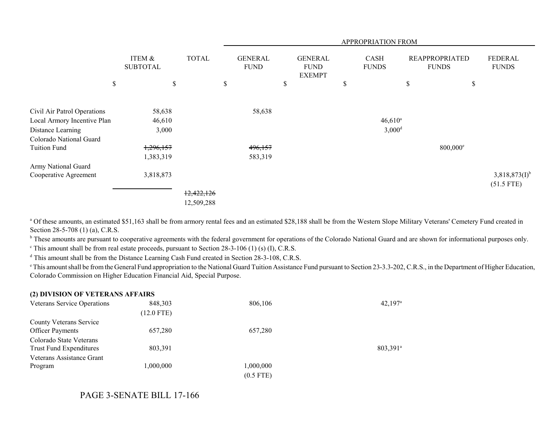|                             |                           |              | <b>APPROPRIATION FROM</b>     |                                                |                             |                      |                                       |                         |  |
|-----------------------------|---------------------------|--------------|-------------------------------|------------------------------------------------|-----------------------------|----------------------|---------------------------------------|-------------------------|--|
|                             | ITEM &<br><b>SUBTOTAL</b> | <b>TOTAL</b> | <b>GENERAL</b><br><b>FUND</b> | <b>GENERAL</b><br><b>FUND</b><br><b>EXEMPT</b> | <b>CASH</b><br><b>FUNDS</b> |                      | <b>REAPPROPRIATED</b><br><b>FUNDS</b> | FEDERAL<br><b>FUNDS</b> |  |
| \$                          | \$                        |              | \$                            | \$                                             | \$                          | \$                   | \$                                    |                         |  |
| Civil Air Patrol Operations | 58,638                    |              | 58,638                        |                                                |                             |                      |                                       |                         |  |
| Local Armory Incentive Plan | 46,610                    |              |                               |                                                |                             | $46,610^a$           |                                       |                         |  |
| Distance Learning           | 3,000                     |              |                               |                                                |                             | $3,000$ <sup>d</sup> |                                       |                         |  |
| Colorado National Guard     |                           |              |                               |                                                |                             |                      |                                       |                         |  |
| <b>Tuition Fund</b>         | 1,296,157                 |              | 496,157                       |                                                |                             |                      | $800,000$ <sup>e</sup>                |                         |  |
|                             | 1,383,319                 |              | 583,319                       |                                                |                             |                      |                                       |                         |  |
| Army National Guard         |                           |              |                               |                                                |                             |                      |                                       |                         |  |
| Cooperative Agreement       | 3,818,873                 |              |                               |                                                |                             |                      |                                       | $3,818,873(I)^{b}$      |  |
|                             |                           |              |                               |                                                |                             |                      |                                       | $(51.5$ FTE)            |  |
|                             |                           | 12,422,126   |                               |                                                |                             |                      |                                       |                         |  |
|                             |                           | 12,509,288   |                               |                                                |                             |                      |                                       |                         |  |

<sup>a</sup> Of these amounts, an estimated \$51,163 shall be from armory rental fees and an estimated \$28,188 shall be from the Western Slope Military Veterans' Cemetery Fund created in Section 28-5-708 (1) (a), C.R.S.

<sup>b</sup> These amounts are pursuant to cooperative agreements with the federal government for operations of the Colorado National Guard and are shown for informational purposes only.

 $\textdegree$  This amount shall be from real estate proceeds, pursuant to Section 28-3-106 (1) (s) (I), C.R.S.

d This amount shall be from the Distance Learning Cash Fund created in Section 28-3-108, C.R.S.

<sup>e</sup> This amount shall be from the General Fund appropriation to the National Guard Tuition Assistance Fund pursuant to Section 23-3.3-202, C.R.S., in the Department of Higher Education, Colorado Commission on Higher Education Financial Aid, Special Purpose.

| (2) DIVISION OF VETERANS AFFAIRS   |              |             |                        |
|------------------------------------|--------------|-------------|------------------------|
| <b>Veterans Service Operations</b> | 848,303      | 806,106     | $42,197^{\rm a}$       |
|                                    | $(12.0$ FTE) |             |                        |
| <b>County Veterans Service</b>     |              |             |                        |
| <b>Officer Payments</b>            | 657,280      | 657,280     |                        |
| Colorado State Veterans            |              |             |                        |
| Trust Fund Expenditures            | 803,391      |             | $803,391$ <sup>a</sup> |
| Veterans Assistance Grant          |              |             |                        |
| Program                            | 1,000,000    | 1,000,000   |                        |
|                                    |              | $(0.5$ FTE) |                        |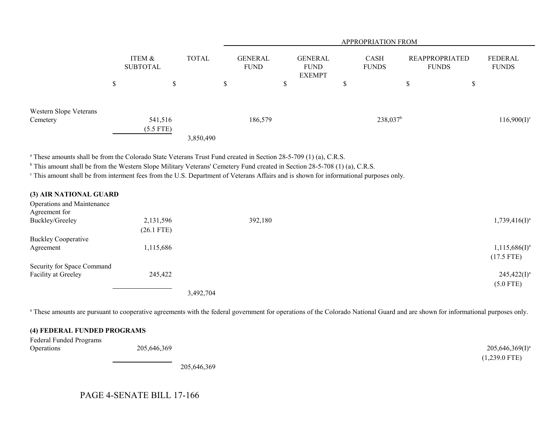|                                    |        |                           |              | <b>APPROPRIATION FROM</b> |                 |                                                |        |                             |                                |        |                         |
|------------------------------------|--------|---------------------------|--------------|---------------------------|-----------------|------------------------------------------------|--------|-----------------------------|--------------------------------|--------|-------------------------|
|                                    |        | ITEM &<br><b>SUBTOTAL</b> | <b>TOTAL</b> |                           | GENERAL<br>FUND | <b>GENERAL</b><br><b>FUND</b><br><b>EXEMPT</b> |        | <b>CASH</b><br><b>FUNDS</b> | REAPPROPRIATED<br><b>FUNDS</b> |        | FEDERAL<br><b>FUNDS</b> |
|                                    | ¢<br>Ф | ₼<br>P                    |              | \$                        |                 | ₼<br>D                                         | ¢<br>Ф |                             | D                              | ¢<br>P |                         |
| Western Slope Veterans<br>Cemetery |        | 541,516<br>$(5.5$ FTE)    |              |                           | 186,579         |                                                |        | $238,037^b$                 |                                |        | $116,900(I)^c$          |
|                                    |        |                           | 3,850,490    |                           |                 |                                                |        |                             |                                |        |                         |

<sup>a</sup> These amounts shall be from the Colorado State Veterans Trust Fund created in Section 28-5-709 (1) (a), C.R.S.

<sup>b</sup> This amount shall be from the Western Slope Military Veterans' Cemetery Fund created in Section 28-5-708 (1) (a), C.R.S.

c This amount shall be from interment fees from the U.S. Department of Veterans Affairs and is shown for informational purposes only.

| (3) AIR NATIONAL GUARD            |              |           |         |                              |
|-----------------------------------|--------------|-----------|---------|------------------------------|
| <b>Operations and Maintenance</b> |              |           |         |                              |
| Agreement for                     |              |           |         |                              |
| Buckley/Greeley                   | 2,131,596    |           | 392,180 | $1,739,416$ (I) <sup>a</sup> |
|                                   | $(26.1$ FTE) |           |         |                              |
| <b>Buckley Cooperative</b>        |              |           |         |                              |
| Agreement                         | 1,115,686    |           |         | $1,115,686(I)^a$             |
|                                   |              |           |         | $(17.5$ FTE)                 |
| Security for Space Command        |              |           |         |                              |
| Facility at Greeley               | 245,422      |           |         | $245,422(I)^a$               |
|                                   |              |           |         | $(5.0$ FTE)                  |
|                                   |              | 3,492,704 |         |                              |

<sup>a</sup> These amounts are pursuant to cooperative agreements with the federal government for operations of the Colorado National Guard and are shown for informational purposes only.

## **(4) FEDERAL FUNDED PROGRAMS**

| <b>Federal Funded Programs</b> |             |                      |
|--------------------------------|-------------|----------------------|
| Operations                     | 205,646,369 | $205,646,369(1)^{a}$ |
|                                |             | $(1,239.0$ FTE)      |
|                                | 205646260   |                      |

205,646,369

## PAGE 4-SENATE BILL 17-166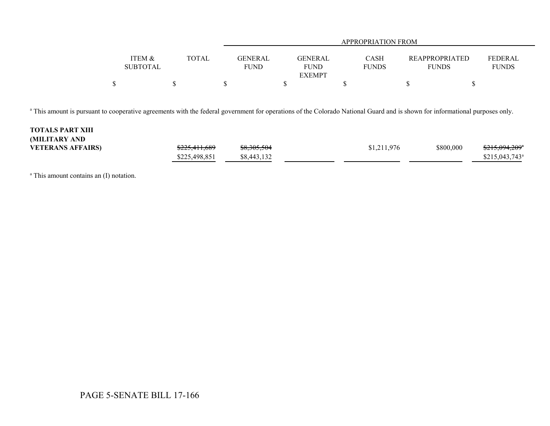|                                      |       |                               | APPROPRIATION FROM     |                      |                                       |                                |  |
|--------------------------------------|-------|-------------------------------|------------------------|----------------------|---------------------------------------|--------------------------------|--|
|                                      |       |                               |                        |                      |                                       |                                |  |
| <b>ITEM &amp;</b><br><b>SUBTOTAL</b> | TOTAL | <b>GENERAL</b><br><b>FUND</b> | <b>GENERAL</b><br>FUND | CASH<br><b>FUNDS</b> | <b>REAPPROPRIATED</b><br><b>FUNDS</b> | <b>FEDERAL</b><br><b>FUNDS</b> |  |
|                                      |       |                               | <b>EXEMPT</b>          |                      |                                       |                                |  |
| Φ                                    |       |                               |                        |                      |                                       |                                |  |

<sup>a</sup> This amount is pursuant to cooperative agreements with the federal government for operations of the Colorado National Guard and is shown for informational purposes only.

| <b>TOTALS PART XIII</b><br><b>(MILITARY AND</b> |               |                        |             |           |                            |
|-------------------------------------------------|---------------|------------------------|-------------|-----------|----------------------------|
| <b>VETERANS AFFAIRS)</b>                        | \$225,411,689 | <del>\$8,305,504</del> | \$1,211,976 | \$800,000 | \$215,094,209 <sup>a</sup> |
|                                                 | \$225,498,851 | \$8,443,132            |             |           | $$215,043,743^{\circ}$     |

<sup>a</sup> This amount contains an (I) notation.